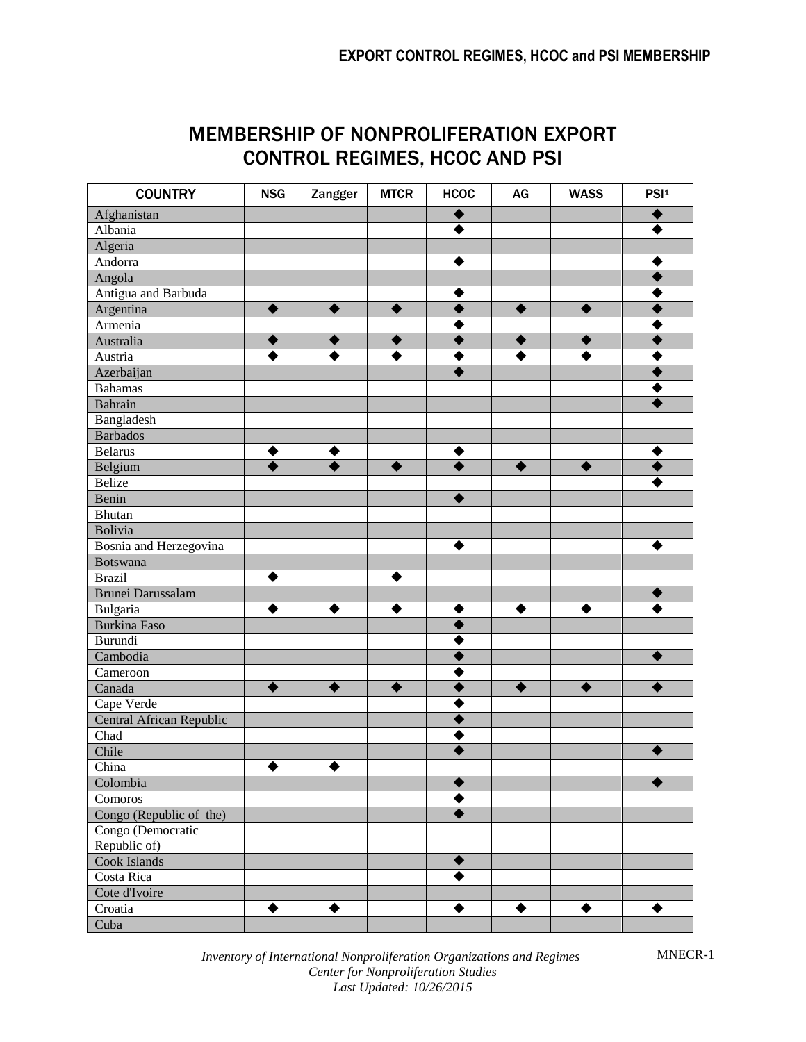# MEMBERSHIP OF NONPROLIFERATION EXPORT CONTROL REGIMES, HCOC AND PSI

| <b>COUNTRY</b>           | <b>NSG</b> | Zangger         | <b>MTCR</b> | <b>HCOC</b>     | AG        | <b>WASS</b> | PSI <sup>1</sup> |
|--------------------------|------------|-----------------|-------------|-----------------|-----------|-------------|------------------|
| Afghanistan              |            |                 |             |                 |           |             |                  |
| Albania                  |            |                 |             |                 |           |             |                  |
| Algeria                  |            |                 |             |                 |           |             |                  |
| Andorra                  |            |                 |             |                 |           |             |                  |
| Angola                   |            |                 |             |                 |           |             |                  |
| Antigua and Barbuda      |            |                 |             |                 |           |             |                  |
| Argentina                | $\bullet$  | $\blacklozenge$ | ♦           |                 | $\bullet$ | $\bullet$   |                  |
| Armenia                  |            |                 |             |                 |           |             |                  |
| Australia                | ◆          | ◆               |             |                 | ◆         |             |                  |
| Austria                  |            | ♦               |             |                 |           |             |                  |
| Azerbaijan               |            |                 |             |                 |           |             |                  |
| <b>Bahamas</b>           |            |                 |             |                 |           |             |                  |
| Bahrain                  |            |                 |             |                 |           |             |                  |
| Bangladesh               |            |                 |             |                 |           |             |                  |
| <b>Barbados</b>          |            |                 |             |                 |           |             |                  |
| <b>Belarus</b>           | ◆          | ◆               |             |                 |           |             |                  |
| Belgium                  |            | $\bullet$       | ♦           |                 | ♦         | ♦           |                  |
| <b>Belize</b>            |            |                 |             |                 |           |             |                  |
| Benin                    |            |                 |             |                 |           |             |                  |
| Bhutan                   |            |                 |             |                 |           |             |                  |
| Bolivia                  |            |                 |             |                 |           |             |                  |
| Bosnia and Herzegovina   |            |                 |             |                 |           |             |                  |
| Botswana                 |            |                 |             |                 |           |             |                  |
| <b>Brazil</b>            | ♦          |                 |             |                 |           |             |                  |
| Brunei Darussalam        |            |                 |             |                 |           |             |                  |
| Bulgaria                 | ♦          | ◆               | ♦           |                 | ◆         |             |                  |
| Burkina Faso             |            |                 |             |                 |           |             |                  |
| Burundi                  |            |                 |             |                 |           |             |                  |
| Cambodia                 |            |                 |             |                 |           |             |                  |
| Cameroon                 |            |                 |             |                 |           |             |                  |
| Canada                   | $\bullet$  | $\bullet$       | ▲           |                 | ♦         | ♦           |                  |
| Cape Verde               |            |                 |             |                 |           |             |                  |
| Central African Republic |            |                 |             |                 |           |             |                  |
| Chad                     |            |                 |             |                 |           |             |                  |
| Chile                    |            |                 |             |                 |           |             |                  |
| China                    |            | ◆               |             |                 |           |             |                  |
| Colombia                 |            |                 |             |                 |           |             |                  |
| Comoros                  |            |                 |             |                 |           |             |                  |
| Congo (Republic of the)  |            |                 |             |                 |           |             |                  |
| Congo (Democratic        |            |                 |             |                 |           |             |                  |
| Republic of)             |            |                 |             |                 |           |             |                  |
| Cook Islands             |            |                 |             | $\blacklozenge$ |           |             |                  |
| Costa Rica               |            |                 |             |                 |           |             |                  |
| Cote d'Ivoire            |            |                 |             |                 |           |             |                  |
| Croatia                  | ◆          | ♦               |             | ♦               | ♦         | ♦           | ♦                |
| Cuba                     |            |                 |             |                 |           |             |                  |

*Inventory of International Nonproliferation Organizations and Regimes Center for Nonproliferation Studies Last Updated: 10/26/2015*

MNECR-1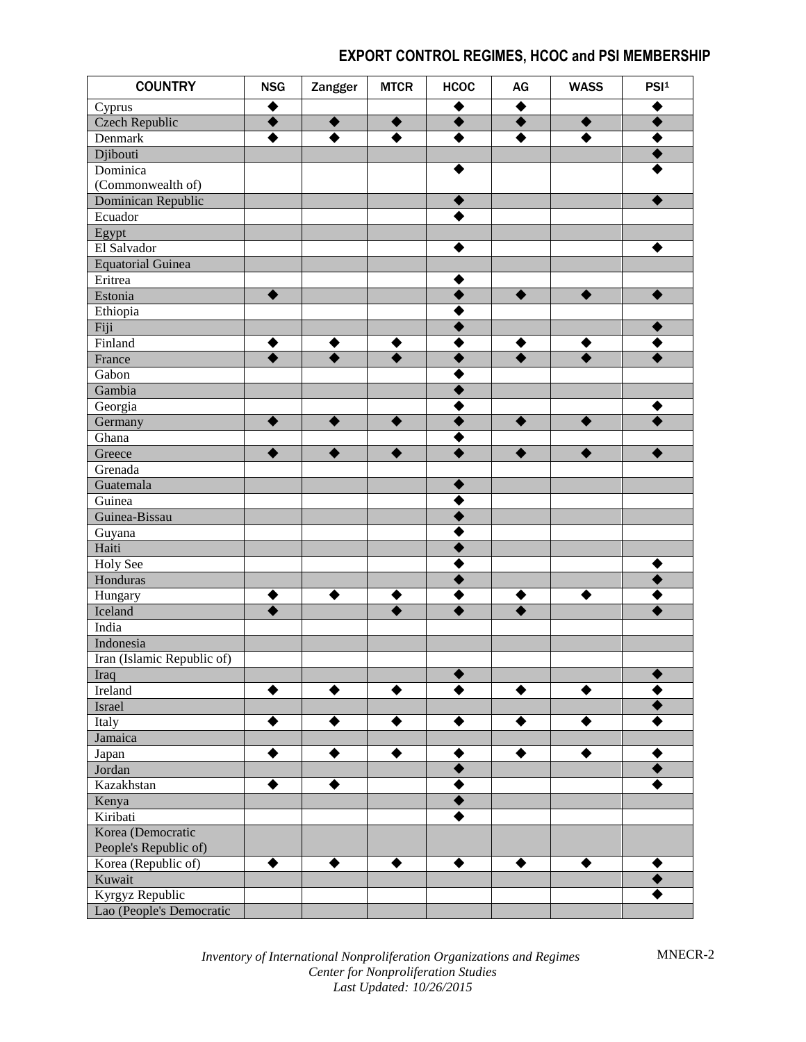| <b>COUNTRY</b>                | <b>NSG</b> | Zangger | <b>MTCR</b> | <b>HCOC</b> | AG | <b>WASS</b> | PSI <sup>1</sup> |
|-------------------------------|------------|---------|-------------|-------------|----|-------------|------------------|
| Cyprus                        |            |         |             |             |    |             |                  |
| <b>Czech Republic</b>         |            |         |             |             |    |             |                  |
| Denmark                       |            |         |             |             |    |             |                  |
| Djibouti                      |            |         |             |             |    |             |                  |
| Dominica                      |            |         |             |             |    |             |                  |
| (Commonwealth of)             |            |         |             |             |    |             |                  |
| Dominican Republic            |            |         |             |             |    |             |                  |
| Ecuador                       |            |         |             |             |    |             |                  |
| Egypt                         |            |         |             |             |    |             |                  |
| El Salvador                   |            |         |             |             |    |             |                  |
| <b>Equatorial Guinea</b>      |            |         |             |             |    |             |                  |
| Eritrea                       |            |         |             |             |    |             |                  |
| Estonia                       |            |         |             |             |    |             |                  |
| Ethiopia                      |            |         |             |             |    |             |                  |
| Fiji                          |            |         |             |             |    |             |                  |
| Finland                       |            |         |             |             |    |             |                  |
| France                        |            |         |             |             |    |             |                  |
| Gabon                         |            |         |             |             |    |             |                  |
| Gambia                        |            |         |             |             |    |             |                  |
| Georgia                       |            |         |             |             |    |             |                  |
| Germany                       |            |         |             |             |    |             |                  |
| Ghana                         |            |         |             |             |    |             |                  |
| Greece                        |            |         |             |             |    |             |                  |
| Grenada                       |            |         |             |             |    |             |                  |
| Guatemala                     |            |         |             |             |    |             |                  |
| Guinea                        |            |         |             |             |    |             |                  |
| Guinea-Bissau                 |            |         |             |             |    |             |                  |
| Guyana                        |            |         |             |             |    |             |                  |
| Haiti                         |            |         |             |             |    |             |                  |
| <b>Holy See</b>               |            |         |             |             |    |             |                  |
| Honduras                      |            |         |             |             |    |             |                  |
| Hungary                       |            |         |             |             |    |             |                  |
| Iceland                       |            |         |             |             |    |             |                  |
| India                         |            |         |             |             |    |             |                  |
| Indonesia                     |            |         |             |             |    |             |                  |
| Iran (Islamic Republic of)    |            |         |             |             |    |             |                  |
| Iraq                          |            |         |             |             |    |             |                  |
| Ireland                       |            |         |             |             |    |             |                  |
| Israel                        |            |         |             |             |    |             |                  |
| Italy                         |            |         |             |             |    |             |                  |
| Jamaica                       |            |         |             |             |    |             |                  |
|                               |            |         |             |             |    |             |                  |
| Japan<br>Jordan               |            |         |             |             |    |             |                  |
| Kazakhstan                    |            |         |             |             |    |             |                  |
|                               |            |         |             |             |    |             |                  |
| Kenya                         |            |         |             |             |    |             |                  |
| Kiribati                      |            |         |             |             |    |             |                  |
| Korea (Democratic             |            |         |             |             |    |             |                  |
| People's Republic of)         | ♦          | ♦       | ♦           |             | ♦  | ♦           |                  |
| Korea (Republic of)<br>Kuwait |            |         |             |             |    |             |                  |
|                               |            |         |             |             |    |             |                  |
| Kyrgyz Republic               |            |         |             |             |    |             |                  |
| Lao (People's Democratic      |            |         |             |             |    |             |                  |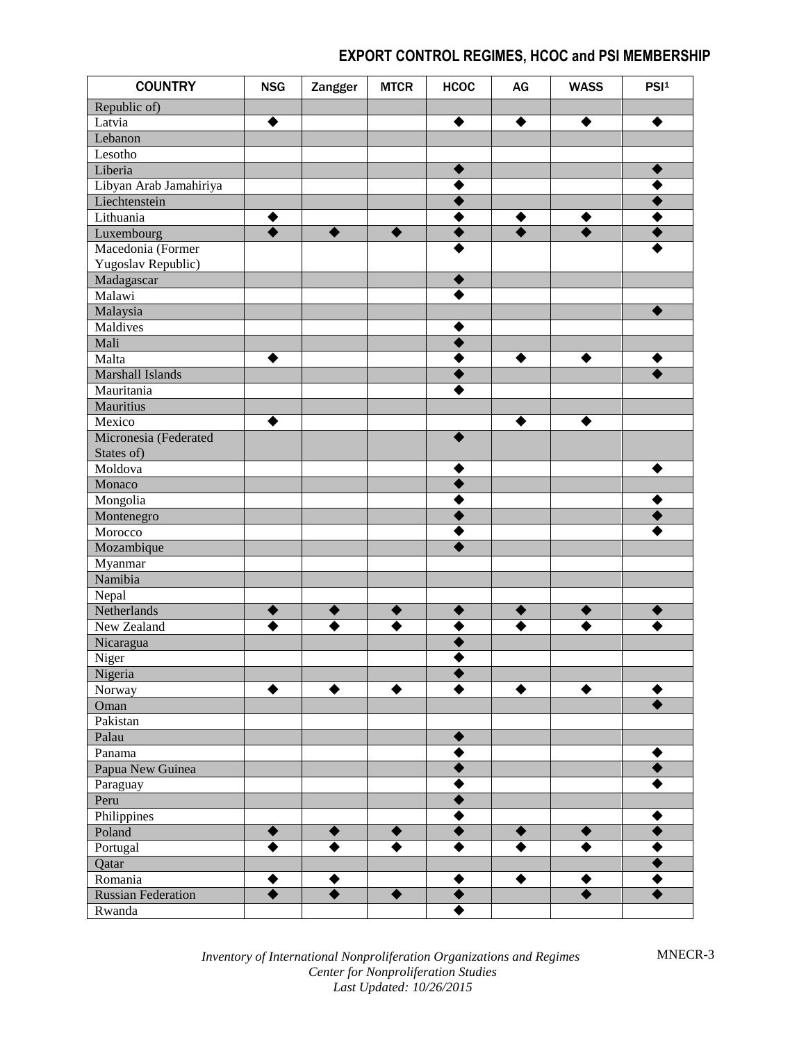| <b>COUNTRY</b>            | <b>NSG</b> | Zangger              | <b>MTCR</b> | <b>HCOC</b> | AG | <b>WASS</b> | PSI <sup>1</sup> |
|---------------------------|------------|----------------------|-------------|-------------|----|-------------|------------------|
| Republic of)              |            |                      |             |             |    |             |                  |
| Latvia                    |            |                      |             |             |    |             |                  |
| Lebanon                   |            |                      |             |             |    |             |                  |
| Lesotho                   |            |                      |             |             |    |             |                  |
| Liberia                   |            |                      |             |             |    |             |                  |
| Libyan Arab Jamahiriya    |            |                      |             |             |    |             |                  |
| Liechtenstein             |            |                      |             |             |    |             |                  |
| Lithuania                 |            |                      |             |             |    |             |                  |
| Luxembourg                |            | ♦                    |             |             |    |             |                  |
| Macedonia (Former         |            |                      |             |             |    |             |                  |
| Yugoslav Republic)        |            |                      |             |             |    |             |                  |
| Madagascar                |            |                      |             |             |    |             |                  |
| Malawi                    |            |                      |             |             |    |             |                  |
| Malaysia                  |            |                      |             |             |    |             |                  |
| Maldives                  |            |                      |             |             |    |             |                  |
| Mali                      |            |                      |             |             |    |             |                  |
| Malta                     |            |                      |             |             |    |             |                  |
| Marshall Islands          |            |                      |             |             |    |             |                  |
| Mauritania                |            |                      |             |             |    |             |                  |
| <b>Mauritius</b>          |            |                      |             |             |    |             |                  |
| Mexico                    |            |                      |             |             |    |             |                  |
| Micronesia (Federated     |            |                      |             |             |    |             |                  |
|                           |            |                      |             |             |    |             |                  |
| States of)<br>Moldova     |            |                      |             |             |    |             |                  |
|                           |            |                      |             |             |    |             |                  |
| Monaco                    |            |                      |             |             |    |             |                  |
| Mongolia                  |            |                      |             |             |    |             |                  |
| Montenegro                |            |                      |             |             |    |             |                  |
| Morocco                   |            |                      |             |             |    |             |                  |
| Mozambique                |            |                      |             |             |    |             |                  |
| Myanmar                   |            |                      |             |             |    |             |                  |
| Namibia                   |            |                      |             |             |    |             |                  |
| Nepal                     |            |                      |             |             |    |             |                  |
| Netherlands               |            | €                    |             |             |    |             |                  |
| New Zealand               |            |                      |             |             |    |             |                  |
| Nicaragua                 |            |                      |             |             |    |             |                  |
| Niger                     |            |                      |             |             |    |             |                  |
| Nigeria                   |            |                      |             |             |    |             |                  |
| Norway                    |            | ▲                    |             |             | ◆  |             |                  |
| Oman                      |            |                      |             |             |    |             |                  |
| Pakistan                  |            |                      |             |             |    |             |                  |
| Palau                     |            |                      |             |             |    |             |                  |
| Panama                    |            |                      |             |             |    |             |                  |
| Papua New Guinea          |            |                      |             |             |    |             |                  |
| Paraguay                  |            |                      |             |             |    |             |                  |
| Peru                      |            |                      |             |             |    |             |                  |
| Philippines               |            |                      |             |             |    |             |                  |
| Poland                    | ♦          | ♦                    |             |             | ♦  |             |                  |
| Portugal                  |            |                      |             |             |    |             |                  |
| Qatar                     |            |                      |             |             |    |             |                  |
| Romania                   | ◆          | ◆                    |             |             | ◆  | ◆           |                  |
| <b>Russian Federation</b> |            | $\overline{\bullet}$ | ▲           |             |    |             |                  |
| Rwanda                    |            |                      |             |             |    |             |                  |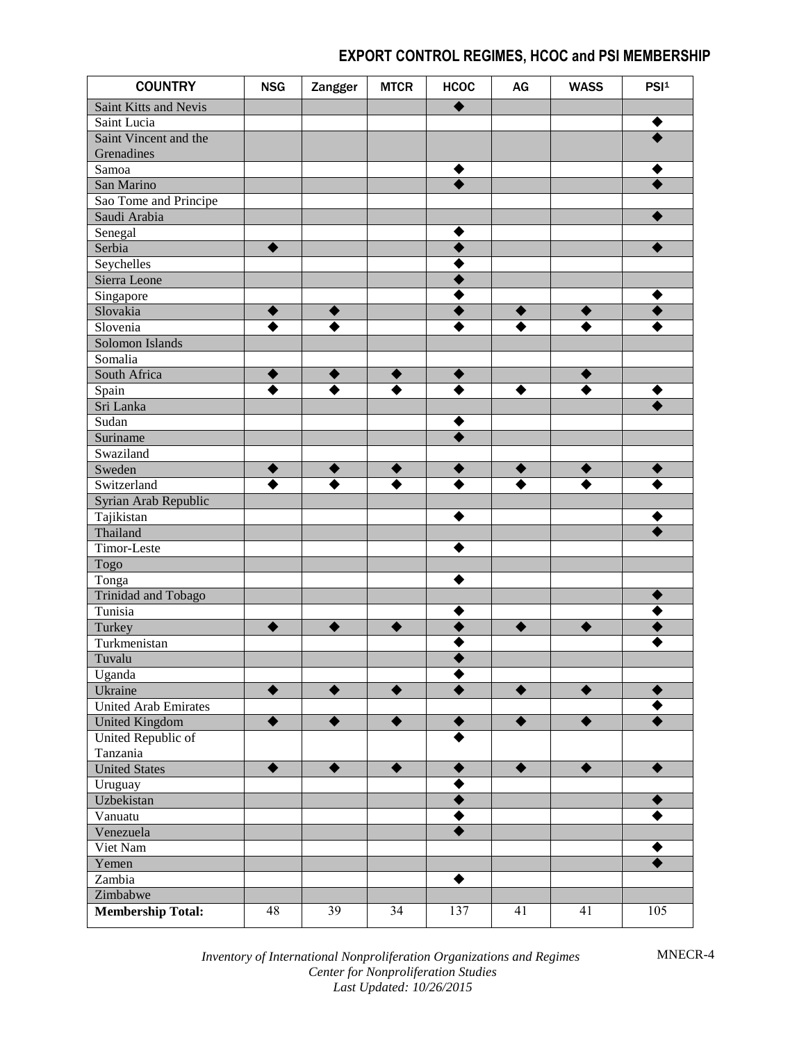| <b>COUNTRY</b>              | <b>NSG</b> | Zangger   | <b>MTCR</b> | <b>HCOC</b> | AG              | <b>WASS</b> | PSI <sup>1</sup> |
|-----------------------------|------------|-----------|-------------|-------------|-----------------|-------------|------------------|
| Saint Kitts and Nevis       |            |           |             |             |                 |             |                  |
| Saint Lucia                 |            |           |             |             |                 |             |                  |
| Saint Vincent and the       |            |           |             |             |                 |             |                  |
| Grenadines                  |            |           |             |             |                 |             |                  |
| Samoa                       |            |           |             |             |                 |             |                  |
| San Marino                  |            |           |             |             |                 |             |                  |
| Sao Tome and Principe       |            |           |             |             |                 |             |                  |
| Saudi Arabia                |            |           |             |             |                 |             |                  |
| Senegal                     |            |           |             |             |                 |             |                  |
| Serbia                      |            |           |             |             |                 |             |                  |
| Seychelles                  |            |           |             |             |                 |             |                  |
| Sierra Leone                |            |           |             |             |                 |             |                  |
| Singapore                   |            |           |             |             |                 |             |                  |
| Slovakia                    |            | ◆         |             |             |                 |             |                  |
| Slovenia                    |            |           |             |             |                 |             |                  |
| Solomon Islands             |            |           |             |             |                 |             |                  |
| Somalia                     |            |           |             |             |                 |             |                  |
| South Africa                |            | ◆         |             |             |                 |             |                  |
| Spain                       |            |           |             |             | ♦               |             |                  |
| Sri Lanka                   |            |           |             |             |                 |             |                  |
| Sudan                       |            |           |             |             |                 |             |                  |
| Suriname                    |            |           |             |             |                 |             |                  |
| Swaziland                   |            |           |             |             |                 |             |                  |
| Sweden                      |            | €         |             |             |                 |             |                  |
| Switzerland                 |            |           |             |             |                 |             |                  |
| Syrian Arab Republic        |            |           |             |             |                 |             |                  |
| Tajikistan                  |            |           |             |             |                 |             |                  |
| Thailand                    |            |           |             |             |                 |             |                  |
| Timor-Leste                 |            |           |             |             |                 |             |                  |
| Togo                        |            |           |             |             |                 |             |                  |
| Tonga                       |            |           |             |             |                 |             |                  |
| <b>Trinidad and Tobago</b>  |            |           |             |             |                 |             |                  |
| Tunisia                     |            |           |             |             |                 |             |                  |
| Turkey                      | ♦          | ♦         |             |             | ♦               | ♠           |                  |
| Turkmenistan                |            |           |             |             |                 |             |                  |
| Tuvalu                      |            |           |             |             |                 |             |                  |
| Uganda                      |            |           |             |             |                 |             |                  |
| Ukraine                     |            | ♦         |             |             | $\blacklozenge$ | ♦           |                  |
| <b>United Arab Emirates</b> |            |           |             |             |                 |             |                  |
| <b>United Kingdom</b>       |            |           |             |             | ♦               | ♦           |                  |
| United Republic of          |            |           |             |             |                 |             |                  |
| Tanzania                    |            |           |             |             |                 |             |                  |
| <b>United States</b>        | ♦          | $\bullet$ | ▲           |             | $\bullet$       | ♦           |                  |
| Uruguay                     |            |           |             |             |                 |             |                  |
| Uzbekistan                  |            |           |             |             |                 |             |                  |
| Vanuatu                     |            |           |             |             |                 |             |                  |
| Venezuela                   |            |           |             |             |                 |             |                  |
| Viet Nam                    |            |           |             |             |                 |             |                  |
| Yemen                       |            |           |             |             |                 |             |                  |
| Zambia                      |            |           |             |             |                 |             |                  |
| Zimbabwe                    |            |           |             |             |                 |             |                  |
| <b>Membership Total:</b>    | 48         | 39        | 34          | 137         | 41              | 41          | 105              |

*Inventory of International Nonproliferation Organizations and Regimes Center for Nonproliferation Studies Last Updated: 10/26/2015*

MNECR-4